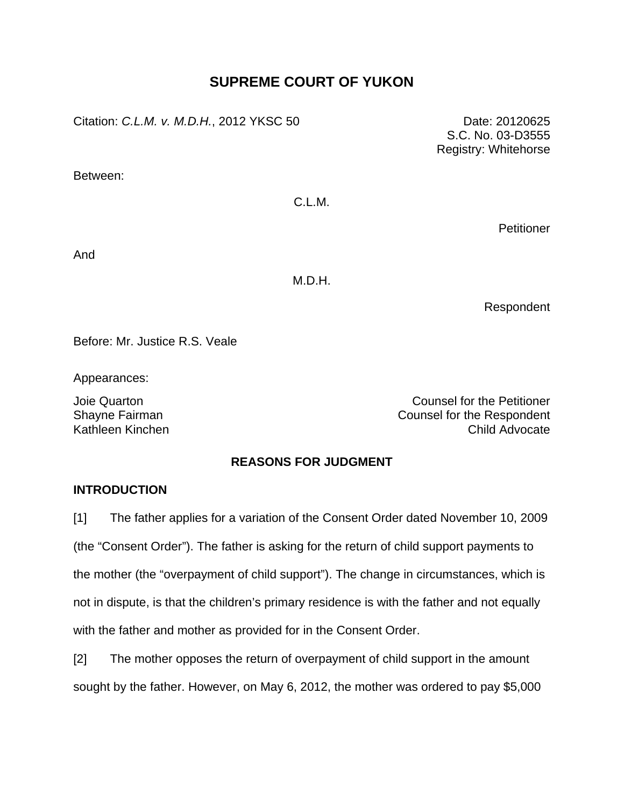# **SUPREME COURT OF YUKON**

Citation: *C.L.M. v. M.D.H.*, 2012 YKSC 50 Date: 20120625

Between:

C.L.M.

**Petitioner** 

And

M.D.H.

Respondent

Before: Mr. Justice R.S. Veale

Appearances:

Joie Quarton Counsel for the Petitioner Shayne Fairman Counsel for the Respondent Kathleen Kinchen Child Advocate

### **REASONS FOR JUDGMENT**

### **INTRODUCTION**

[1] The father applies for a variation of the Consent Order dated November 10, 2009 (the "Consent Order"). The father is asking for the return of child support payments to the mother (the "overpayment of child support"). The change in circumstances, which is not in dispute, is that the children's primary residence is with the father and not equally with the father and mother as provided for in the Consent Order.

[2] The mother opposes the return of overpayment of child support in the amount sought by the father. However, on May 6, 2012, the mother was ordered to pay \$5,000

S.C. No. 03-D3555 Registry: Whitehorse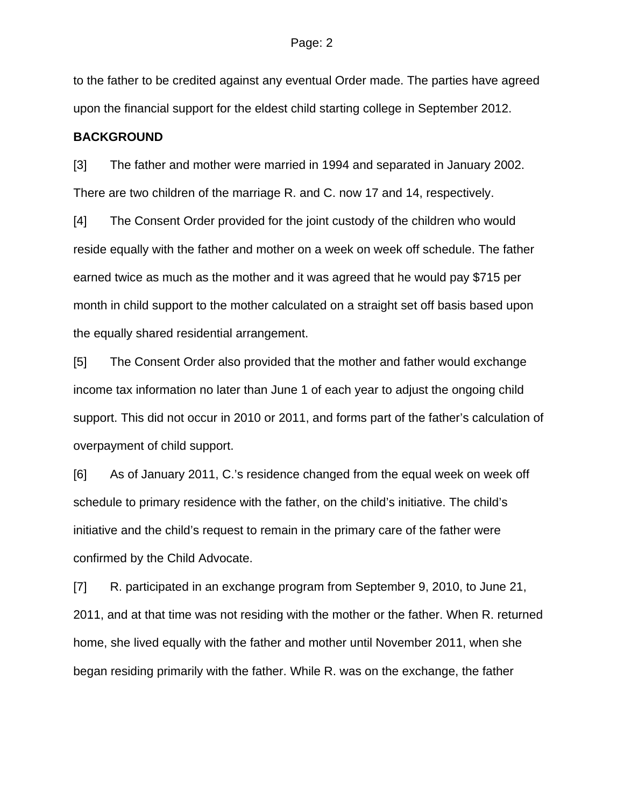to the father to be credited against any eventual Order made. The parties have agreed upon the financial support for the eldest child starting college in September 2012.

#### **BACKGROUND**

[3] The father and mother were married in 1994 and separated in January 2002. There are two children of the marriage R. and C. now 17 and 14, respectively.

[4] The Consent Order provided for the joint custody of the children who would reside equally with the father and mother on a week on week off schedule. The father earned twice as much as the mother and it was agreed that he would pay \$715 per month in child support to the mother calculated on a straight set off basis based upon the equally shared residential arrangement.

[5] The Consent Order also provided that the mother and father would exchange income tax information no later than June 1 of each year to adjust the ongoing child support. This did not occur in 2010 or 2011, and forms part of the father's calculation of overpayment of child support.

[6] As of January 2011, C.'s residence changed from the equal week on week off schedule to primary residence with the father, on the child's initiative. The child's initiative and the child's request to remain in the primary care of the father were confirmed by the Child Advocate.

[7] R. participated in an exchange program from September 9, 2010, to June 21, 2011, and at that time was not residing with the mother or the father. When R. returned home, she lived equally with the father and mother until November 2011, when she began residing primarily with the father. While R. was on the exchange, the father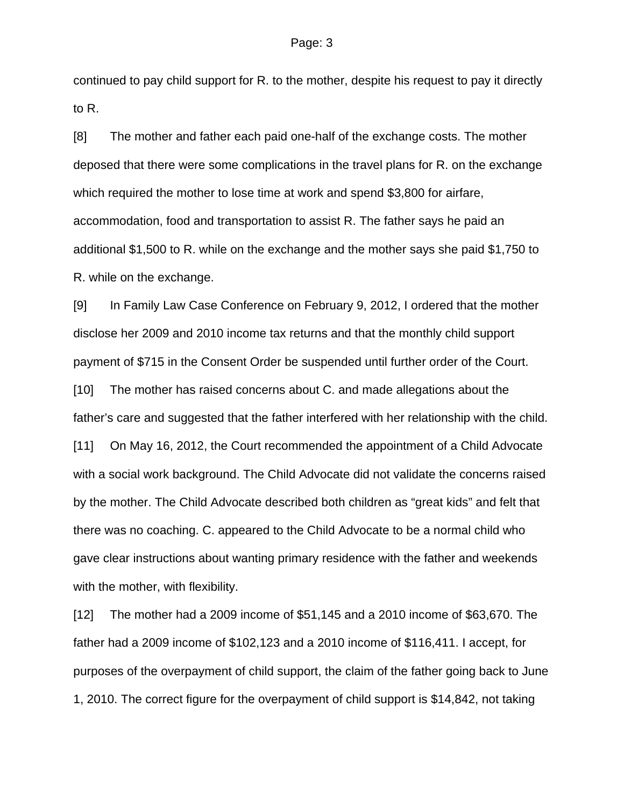continued to pay child support for R. to the mother, despite his request to pay it directly to R.

[8] The mother and father each paid one-half of the exchange costs. The mother deposed that there were some complications in the travel plans for R. on the exchange which required the mother to lose time at work and spend \$3,800 for airfare, accommodation, food and transportation to assist R. The father says he paid an additional \$1,500 to R. while on the exchange and the mother says she paid \$1,750 to R. while on the exchange.

[9] In Family Law Case Conference on February 9, 2012, I ordered that the mother disclose her 2009 and 2010 income tax returns and that the monthly child support payment of \$715 in the Consent Order be suspended until further order of the Court. [10] The mother has raised concerns about C. and made allegations about the father's care and suggested that the father interfered with her relationship with the child. [11] On May 16, 2012, the Court recommended the appointment of a Child Advocate with a social work background. The Child Advocate did not validate the concerns raised by the mother. The Child Advocate described both children as "great kids" and felt that there was no coaching. C. appeared to the Child Advocate to be a normal child who gave clear instructions about wanting primary residence with the father and weekends with the mother, with flexibility.

[12] The mother had a 2009 income of \$51,145 and a 2010 income of \$63,670. The father had a 2009 income of \$102,123 and a 2010 income of \$116,411. I accept, for purposes of the overpayment of child support, the claim of the father going back to June 1, 2010. The correct figure for the overpayment of child support is \$14,842, not taking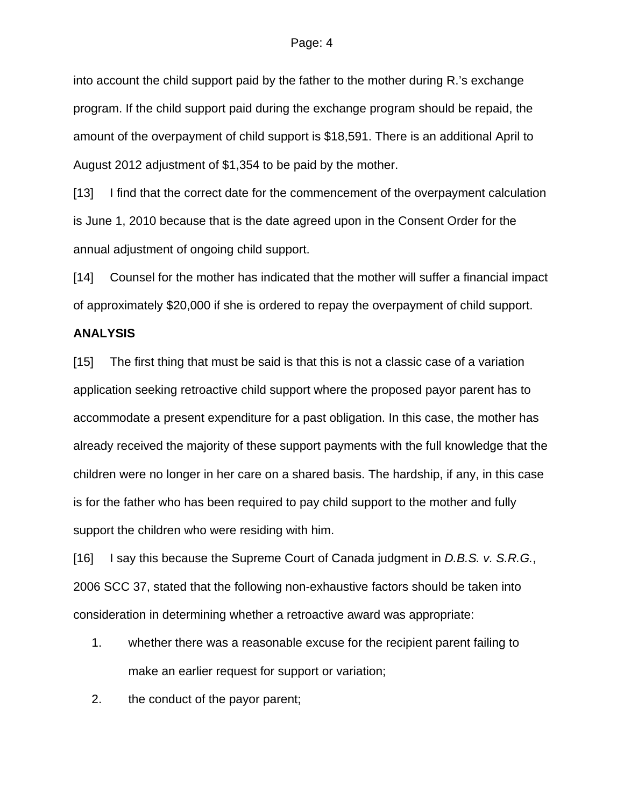#### Page: 4

into account the child support paid by the father to the mother during R.'s exchange program. If the child support paid during the exchange program should be repaid, the amount of the overpayment of child support is \$18,591. There is an additional April to August 2012 adjustment of \$1,354 to be paid by the mother.

[13] I find that the correct date for the commencement of the overpayment calculation is June 1, 2010 because that is the date agreed upon in the Consent Order for the annual adjustment of ongoing child support.

[14] Counsel for the mother has indicated that the mother will suffer a financial impact of approximately \$20,000 if she is ordered to repay the overpayment of child support.

### **ANALYSIS**

[15] The first thing that must be said is that this is not a classic case of a variation application seeking retroactive child support where the proposed payor parent has to accommodate a present expenditure for a past obligation. In this case, the mother has already received the majority of these support payments with the full knowledge that the children were no longer in her care on a shared basis. The hardship, if any, in this case is for the father who has been required to pay child support to the mother and fully support the children who were residing with him.

[16] I say this because the Supreme Court of Canada judgment in *D.B.S. v. S.R.G.*, 2006 SCC 37, stated that the following non-exhaustive factors should be taken into consideration in determining whether a retroactive award was appropriate:

- 1. whether there was a reasonable excuse for the recipient parent failing to make an earlier request for support or variation;
- 2. the conduct of the payor parent;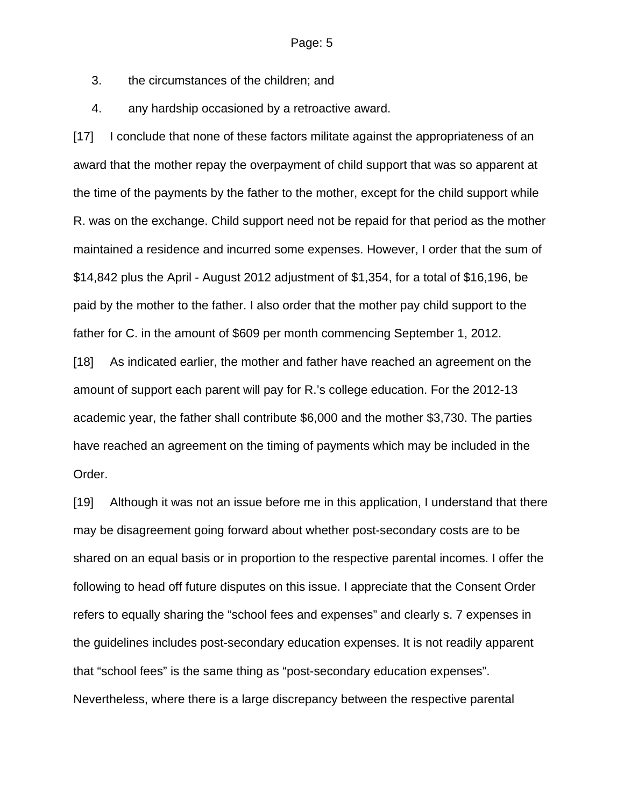3. the circumstances of the children; and

4. any hardship occasioned by a retroactive award.

[17] I conclude that none of these factors militate against the appropriateness of an award that the mother repay the overpayment of child support that was so apparent at the time of the payments by the father to the mother, except for the child support while R. was on the exchange. Child support need not be repaid for that period as the mother maintained a residence and incurred some expenses. However, I order that the sum of \$14,842 plus the April - August 2012 adjustment of \$1,354, for a total of \$16,196, be paid by the mother to the father. I also order that the mother pay child support to the father for C. in the amount of \$609 per month commencing September 1, 2012.

[18] As indicated earlier, the mother and father have reached an agreement on the amount of support each parent will pay for R.'s college education. For the 2012-13 academic year, the father shall contribute \$6,000 and the mother \$3,730. The parties have reached an agreement on the timing of payments which may be included in the Order.

[19] Although it was not an issue before me in this application, I understand that there may be disagreement going forward about whether post-secondary costs are to be shared on an equal basis or in proportion to the respective parental incomes. I offer the following to head off future disputes on this issue. I appreciate that the Consent Order refers to equally sharing the "school fees and expenses" and clearly s. 7 expenses in the guidelines includes post-secondary education expenses. It is not readily apparent that "school fees" is the same thing as "post-secondary education expenses". Nevertheless, where there is a large discrepancy between the respective parental